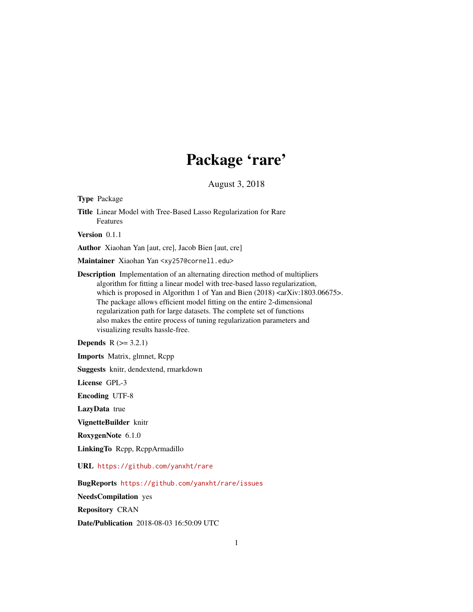# Package 'rare'

August 3, 2018

<span id="page-0-0"></span>Type Package

Title Linear Model with Tree-Based Lasso Regularization for Rare Features

Version 0.1.1

Author Xiaohan Yan [aut, cre], Jacob Bien [aut, cre]

Maintainer Xiaohan Yan <xy257@cornell.edu>

Description Implementation of an alternating direction method of multipliers algorithm for fitting a linear model with tree-based lasso regularization, which is proposed in Algorithm 1 of Yan and Bien (2018) <arXiv:1803.06675>. The package allows efficient model fitting on the entire 2-dimensional regularization path for large datasets. The complete set of functions also makes the entire process of tuning regularization parameters and visualizing results hassle-free.

**Depends**  $R$  ( $> = 3.2.1$ )

Imports Matrix, glmnet, Rcpp

Suggests knitr, dendextend, rmarkdown

License GPL-3

Encoding UTF-8

LazyData true

VignetteBuilder knitr

RoxygenNote 6.1.0

LinkingTo Rcpp, RcppArmadillo

#### URL <https://github.com/yanxht/rare>

BugReports <https://github.com/yanxht/rare/issues>

NeedsCompilation yes

Repository CRAN

Date/Publication 2018-08-03 16:50:09 UTC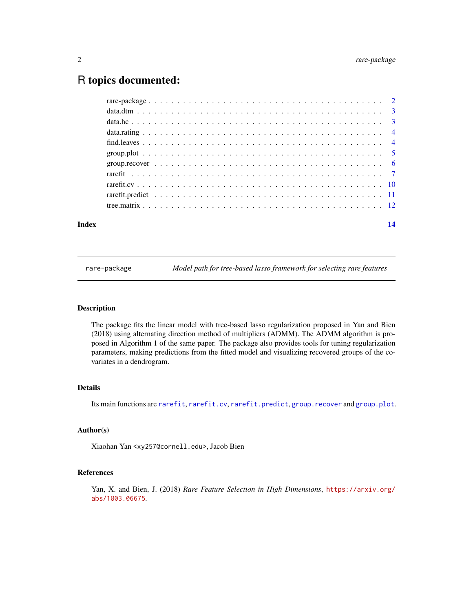# <span id="page-1-0"></span>R topics documented:

| Index | 14 |
|-------|----|
|       |    |
|       |    |
|       |    |
|       |    |
|       |    |
|       |    |
|       |    |
|       |    |
|       |    |
|       |    |
|       |    |

rare-package *Model path for tree-based lasso framework for selecting rare features*

#### Description

The package fits the linear model with tree-based lasso regularization proposed in Yan and Bien (2018) using alternating direction method of multipliers (ADMM). The ADMM algorithm is proposed in Algorithm 1 of the same paper. The package also provides tools for tuning regularization parameters, making predictions from the fitted model and visualizing recovered groups of the covariates in a dendrogram.

#### Details

Its main functions are [rarefit](#page-6-1), [rarefit.cv](#page-9-1), [rarefit.predict](#page-10-1), [group.recover](#page-5-1) and [group.plot](#page-4-1).

#### Author(s)

Xiaohan Yan <xy257@cornell.edu>, Jacob Bien

# References

Yan, X. and Bien, J. (2018) *Rare Feature Selection in High Dimensions*, [https://arxiv.org/](https://arxiv.org/abs/1803.06675) [abs/1803.06675](https://arxiv.org/abs/1803.06675).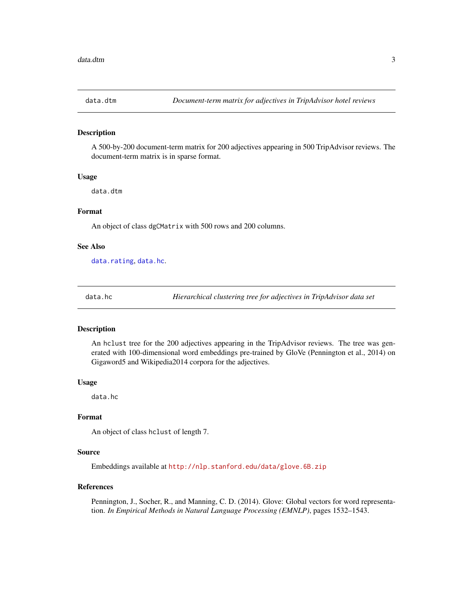<span id="page-2-0"></span>

#### Description

A 500-by-200 document-term matrix for 200 adjectives appearing in 500 TripAdvisor reviews. The document-term matrix is in sparse format.

#### Usage

data.dtm

#### Format

An object of class dgCMatrix with 500 rows and 200 columns.

#### See Also

[data.rating](#page-3-1), [data.hc](#page-2-1).

<span id="page-2-1"></span>

data.hc *Hierarchical clustering tree for adjectives in TripAdvisor data set*

#### Description

An hclust tree for the 200 adjectives appearing in the TripAdvisor reviews. The tree was generated with 100-dimensional word embeddings pre-trained by GloVe (Pennington et al., 2014) on Gigaword5 and Wikipedia2014 corpora for the adjectives.

#### Usage

data.hc

# Format

An object of class hclust of length 7.

#### Source

Embeddings available at <http://nlp.stanford.edu/data/glove.6B.zip>

#### References

Pennington, J., Socher, R., and Manning, C. D. (2014). Glove: Global vectors for word representation. *In Empirical Methods in Natural Language Processing (EMNLP)*, pages 1532–1543.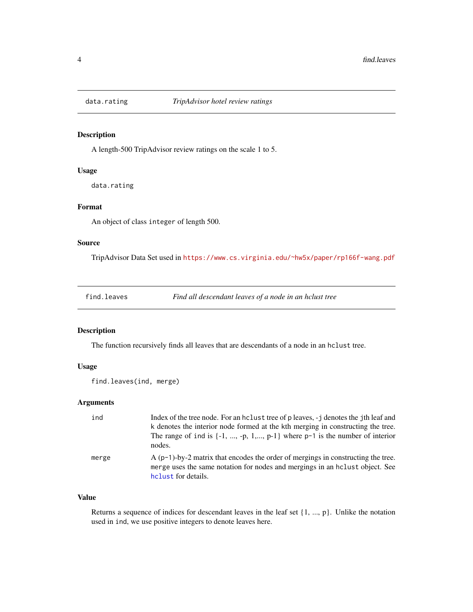<span id="page-3-1"></span><span id="page-3-0"></span>

# Description

A length-500 TripAdvisor review ratings on the scale 1 to 5.

## Usage

data.rating

# Format

An object of class integer of length 500.

# Source

TripAdvisor Data Set used in <https://www.cs.virginia.edu/~hw5x/paper/rp166f-wang.pdf>

<span id="page-3-2"></span>

| find.leaves |  |  |
|-------------|--|--|
|             |  |  |
|             |  |  |
|             |  |  |

find.leaves *Find all descendant leaves of a node in an hclust tree*

#### Description

The function recursively finds all leaves that are descendants of a node in an hclust tree.

## Usage

```
find.leaves(ind, merge)
```
### Arguments

| ind   | Index of the tree node. For an holiest tree of p leaves, -j denotes the jth leaf and<br>k denotes the interior node formed at the kth merging in constructing the tree.<br>The range of ind is $\{-1, , -p, 1, , p-1\}$ where $p-1$ is the number of interior<br>nodes. |
|-------|-------------------------------------------------------------------------------------------------------------------------------------------------------------------------------------------------------------------------------------------------------------------------|
| merge | $A(p-1)-by-2$ matrix that encodes the order of mergings in constructing the tree.<br>merge uses the same notation for nodes and mergings in an holust object. See<br>helust for details.                                                                                |

# Value

Returns a sequence of indices for descendant leaves in the leaf set {1, ..., p}. Unlike the notation used in ind, we use positive integers to denote leaves here.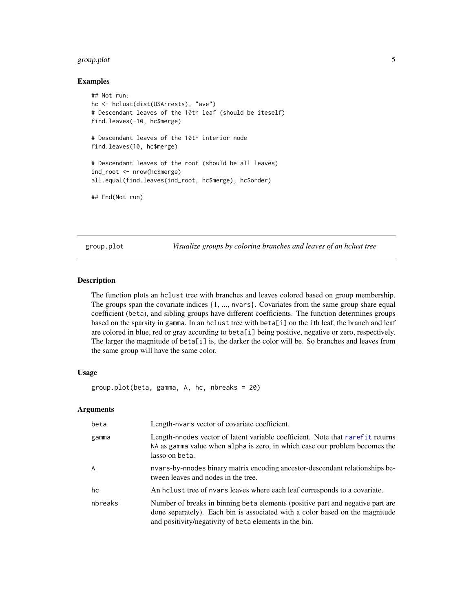# <span id="page-4-0"></span>group.plot 5

#### Examples

```
## Not run:
hc <- hclust(dist(USArrests), "ave")
# Descendant leaves of the 10th leaf (should be iteself)
find.leaves(-10, hc$merge)
# Descendant leaves of the 10th interior node
find.leaves(10, hc$merge)
# Descendant leaves of the root (should be all leaves)
ind_root <- nrow(hc$merge)
all.equal(find.leaves(ind_root, hc$merge), hc$order)
## End(Not run)
```
<span id="page-4-1"></span>group.plot *Visualize groups by coloring branches and leaves of an hclust tree*

# Description

The function plots an hclust tree with branches and leaves colored based on group membership. The groups span the covariate indices {1, ..., nvars}. Covariates from the same group share equal coefficient (beta), and sibling groups have different coefficients. The function determines groups based on the sparsity in gamma. In an hclust tree with beta[i] on the ith leaf, the branch and leaf are colored in blue, red or gray according to beta[i] being positive, negative or zero, respectively. The larger the magnitude of beta[i] is, the darker the color will be. So branches and leaves from the same group will have the same color.

#### Usage

```
group.plot(beta, gamma, A, hc, nbreaks = 20)
```
# Arguments

| beta           | Length-nvars vector of covariate coefficient.                                                                                                                                                                            |
|----------------|--------------------------------------------------------------------------------------------------------------------------------------------------------------------------------------------------------------------------|
| gamma          | Length-nnodes vector of latent variable coefficient. Note that rarefit returns<br>NA as gamma value when alpha is zero, in which case our problem becomes the<br>lasso on beta.                                          |
| $\overline{A}$ | nvars-by-nnodes binary matrix encoding ancestor-descendant relationships be-<br>tween leaves and nodes in the tree.                                                                                                      |
| hc             | An holiest tree of nvars leaves where each leaf corresponds to a covariate.                                                                                                                                              |
| nbreaks        | Number of breaks in binning beta elements (positive part and negative part are<br>done separately). Each bin is associated with a color based on the magnitude<br>and positivity/negativity of beta elements in the bin. |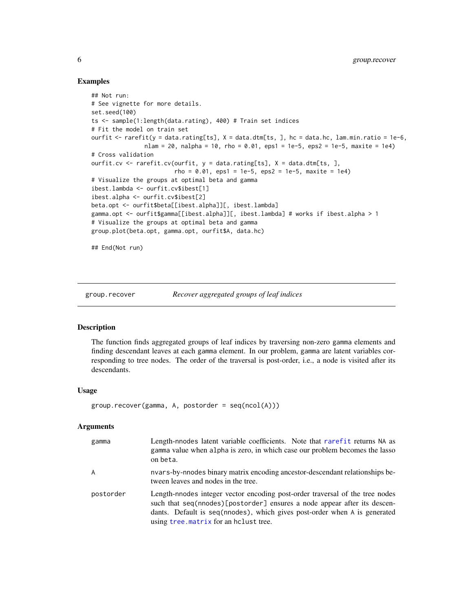#### Examples

```
## Not run:
# See vignette for more details.
set.seed(100)
ts <- sample(1:length(data.rating), 400) # Train set indices
# Fit the model on train set
ourfit <- rarefit(y = data.rating[ts], X = data.dtm[ts, ], hc = data.hc, lam.min.ratio = 1e-6,
               nlam = 20, nalpha = 10, rho = 0.01, eps1 = 1e-5, eps2 = 1e-5, maxite = 1e4)
# Cross validation
ourfit.cv \leq rarefit.cv(ourfit, y = data.rating[ts], X = data.dtm[ts], ],
                        rho = 0.01, eps1 = 1e-5, eps2 = 1e-5, maxite = 1e4)
# Visualize the groups at optimal beta and gamma
ibest.lambda <- ourfit.cv$ibest[1]
ibest.alpha <- ourfit.cv$ibest[2]
beta.opt <- ourfit$beta[[ibest.alpha]][, ibest.lambda]
gamma.opt <- ourfit$gamma[[ibest.alpha]][, ibest.lambda] # works if ibest.alpha > 1
# Visualize the groups at optimal beta and gamma
group.plot(beta.opt, gamma.opt, ourfit$A, data.hc)
## End(Not run)
```
<span id="page-5-1"></span>

group.recover *Recover aggregated groups of leaf indices*

# Description

The function finds aggregated groups of leaf indices by traversing non-zero gamma elements and finding descendant leaves at each gamma element. In our problem, gamma are latent variables corresponding to tree nodes. The order of the traversal is post-order, i.e., a node is visited after its descendants.

#### Usage

```
group.recover(gamma, A, postorder = seq(ncol(A)))
```
#### Arguments

| gamma     | Length-nnodes latent variable coefficients. Note that rarefit returns NA as<br>gamma value when alpha is zero, in which case our problem becomes the lasso<br>on beta.                                                                                                          |
|-----------|---------------------------------------------------------------------------------------------------------------------------------------------------------------------------------------------------------------------------------------------------------------------------------|
| A         | nvars-by-nnodes binary matrix encoding ancestor-descendant relationships be-<br>tween leaves and nodes in the tree.                                                                                                                                                             |
| postorder | Length-nnodes integer vector encoding post-order traversal of the tree nodes<br>such that seq(nnodes)[postorder] ensures a node appear after its descen-<br>dants. Default is seq(nnodes), which gives post-order when A is generated<br>using tree. matrix for an holust tree. |

<span id="page-5-0"></span>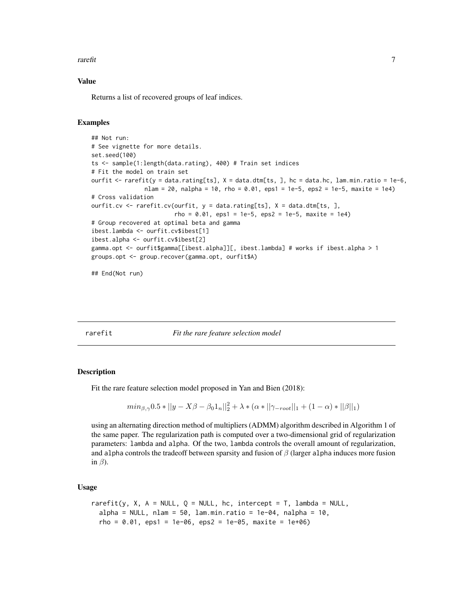#### <span id="page-6-0"></span>rarefit **7**

#### Value

Returns a list of recovered groups of leaf indices.

# Examples

```
## Not run:
# See vignette for more details.
set.seed(100)
ts <- sample(1:length(data.rating), 400) # Train set indices
# Fit the model on train set
ourfit <- rarefit(y = data.rating[ts], X = data.dtm[ts, ], hc = data.hc, lam.min.ratio = 1e-6,
               nlam = 20, nalpha = 10, rho = 0.01, eps1 = 1e-5, eps2 = 1e-5, maxite = 1e4)
# Cross validation
ourfit.cv <- rarefit.cv(ourfit, y = data.rating[ts], X = data.dtm[ts, ],
                        rho = 0.01, eps1 = 1e-5, eps2 = 1e-5, maxite = 1e4)
# Group recovered at optimal beta and gamma
ibest.lambda <- ourfit.cv$ibest[1]
ibest.alpha <- ourfit.cv$ibest[2]
gamma.opt <- ourfit$gamma[[ibest.alpha]][, ibest.lambda] # works if ibest.alpha > 1
groups.opt <- group.recover(gamma.opt, ourfit$A)
```
## End(Not run)

<span id="page-6-1"></span>rarefit *Fit the rare feature selection model*

#### Description

Fit the rare feature selection model proposed in Yan and Bien (2018):

$$
min_{\beta,\gamma} 0.5 * ||y - X\beta - \beta_0 1_n||_2^2 + \lambda * (\alpha * ||\gamma_{\text{--}root}||_1 + (1 - \alpha) * ||\beta||_1)
$$

using an alternating direction method of multipliers (ADMM) algorithm described in Algorithm 1 of the same paper. The regularization path is computed over a two-dimensional grid of regularization parameters: lambda and alpha. Of the two, lambda controls the overall amount of regularization, and alpha controls the tradeoff between sparsity and fusion of  $\beta$  (larger alpha induces more fusion in  $\beta$ ).

#### Usage

```
rarefit(y, X, A = NULL, Q = NULL, hc, intercept = T, lambda = NULL,
  alpha = NULL, nlam = 50, lam.min.ratio = 1e-04, nalpha = 10,
  rho = 0.01, eps1 = 1e-06, eps2 = 1e-05, maxite = 1e+06)
```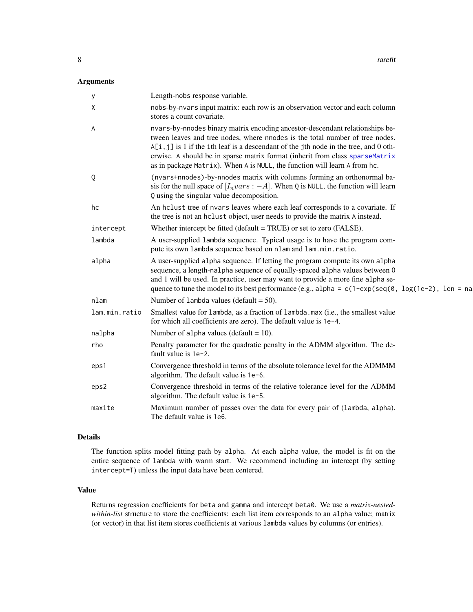# <span id="page-7-0"></span>Arguments

| у             | Length-nobs response variable.                                                                                                                                                                                                                                                                                                                                                                                    |
|---------------|-------------------------------------------------------------------------------------------------------------------------------------------------------------------------------------------------------------------------------------------------------------------------------------------------------------------------------------------------------------------------------------------------------------------|
| Χ             | nobs-by-nvars input matrix: each row is an observation vector and each column<br>stores a count covariate.                                                                                                                                                                                                                                                                                                        |
| A             | nvars-by-nnodes binary matrix encoding ancestor-descendant relationships be-<br>tween leaves and tree nodes, where nnodes is the total number of tree nodes.<br>A[i, j] is 1 if the ith leaf is a descendant of the jth node in the tree, and 0 oth-<br>erwise. A should be in sparse matrix format (inherit from class sparseMatrix<br>as in package Matrix). When A is NULL, the function will learn A from hc. |
| Q             | (nvars+nnodes)-by-nnodes matrix with columns forming an orthonormal ba-<br>sis for the null space of $[I_nvars: -A]$ . When Q is NULL, the function will learn<br>Q using the singular value decomposition.                                                                                                                                                                                                       |
| hc            | An holust tree of nvars leaves where each leaf corresponds to a covariate. If<br>the tree is not an hclust object, user needs to provide the matrix A instead.                                                                                                                                                                                                                                                    |
| intercept     | Whether intercept be fitted (default = TRUE) or set to zero (FALSE).                                                                                                                                                                                                                                                                                                                                              |
| lambda        | A user-supplied lambda sequence. Typical usage is to have the program com-<br>pute its own lambda sequence based on nlam and lam.min.ratio.                                                                                                                                                                                                                                                                       |
| alpha         | A user-supplied alpha sequence. If letting the program compute its own alpha<br>sequence, a length-nalpha sequence of equally-spaced alpha values between 0<br>and 1 will be used. In practice, user may want to provide a more fine alpha se-<br>quence to tune the model to its best performance (e.g., alpha = $c(1-exp(seq(\theta, log(1e-2), len = na$                                                       |
| nlam          | Number of 1 ambda values (default $=$ 50).                                                                                                                                                                                                                                                                                                                                                                        |
| lam.min.ratio | Smallest value for lambda, as a fraction of lambda.max (i.e., the smallest value<br>for which all coefficients are zero). The default value is 1e-4.                                                                                                                                                                                                                                                              |
| nalpha        | Number of alpha values (default $= 10$ ).                                                                                                                                                                                                                                                                                                                                                                         |
| rho           | Penalty parameter for the quadratic penalty in the ADMM algorithm. The de-<br>fault value is $1e-2$ .                                                                                                                                                                                                                                                                                                             |
| eps1          | Convergence threshold in terms of the absolute tolerance level for the ADMMM<br>algorithm. The default value is 1e-6.                                                                                                                                                                                                                                                                                             |
| eps2          | Convergence threshold in terms of the relative tolerance level for the ADMM<br>algorithm. The default value is 1e-5.                                                                                                                                                                                                                                                                                              |
| maxite        | Maximum number of passes over the data for every pair of (lambda, alpha).<br>The default value is 1e6.                                                                                                                                                                                                                                                                                                            |

# Details

The function splits model fitting path by alpha. At each alpha value, the model is fit on the entire sequence of lambda with warm start. We recommend including an intercept (by setting intercept=T) unless the input data have been centered.

### Value

Returns regression coefficients for beta and gamma and intercept beta0. We use a *matrix-nestedwithin-list* structure to store the coefficients: each list item corresponds to an alpha value; matrix (or vector) in that list item stores coefficients at various lambda values by columns (or entries).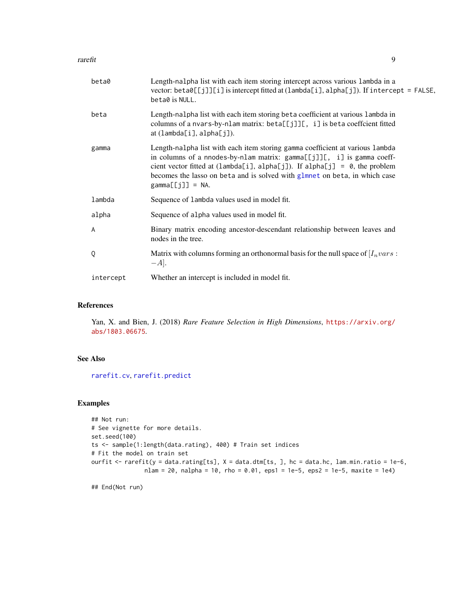#### <span id="page-8-0"></span>rarefit 9

| beta0     | Length-nalpha list with each item storing intercept across various lambda in a<br>vector: beta0[[j]][i] is intercept fitted at (lambda[i], alpha[j]). If intercept = FALSE,<br>beta0 is NULL.                                                                                                                                                      |
|-----------|----------------------------------------------------------------------------------------------------------------------------------------------------------------------------------------------------------------------------------------------------------------------------------------------------------------------------------------------------|
| beta      | Length-nalpha list with each item storing beta coefficient at various lambda in<br>columns of a nvars-by-nlam matrix: beta[[j]][, i] is beta coeffcient fitted<br>$at$ (lambda[i], alpha[j]).                                                                                                                                                      |
| gamma     | Length-nalpha list with each item storing gamma coefficient at various lambda<br>in columns of a nnodes-by-nlam matrix: gamma[[j]][, i] is gamma coeff-<br>cient vector fitted at (lambda[i], alpha[j]). If alpha[j] = $\theta$ , the problem<br>becomes the lasso on beta and is solved with glmnet on beta, in which case<br>$gamma[[j]] = NA$ . |
| lambda    | Sequence of lambda values used in model fit.                                                                                                                                                                                                                                                                                                       |
| alpha     | Sequence of alpha values used in model fit.                                                                                                                                                                                                                                                                                                        |
| A         | Binary matrix encoding ancestor-descendant relationship between leaves and<br>nodes in the tree.                                                                                                                                                                                                                                                   |
| Q         | Matrix with columns forming an orthonormal basis for the null space of $[I_nvars:$<br>$-A$ .                                                                                                                                                                                                                                                       |
| intercept | Whether an intercept is included in model fit.                                                                                                                                                                                                                                                                                                     |

# References

Yan, X. and Bien, J. (2018) *Rare Feature Selection in High Dimensions*, [https://arxiv.org/](https://arxiv.org/abs/1803.06675) [abs/1803.06675](https://arxiv.org/abs/1803.06675).

#### See Also

[rarefit.cv](#page-9-1), [rarefit.predict](#page-10-1)

# Examples

```
## Not run:
# See vignette for more details.
set.seed(100)
ts <- sample(1:length(data.rating), 400) # Train set indices
# Fit the model on train set
ourfit <- rarefit(y = data.rating[ts], X = data.dtm[ts, ], hc = data.hc, lam.min.ratio = 1e-6,
               nlam = 20, nalpha = 10, rho = 0.01, eps1 = 1e-5, eps2 = 1e-5, maxite = 1e4)
```
## End(Not run)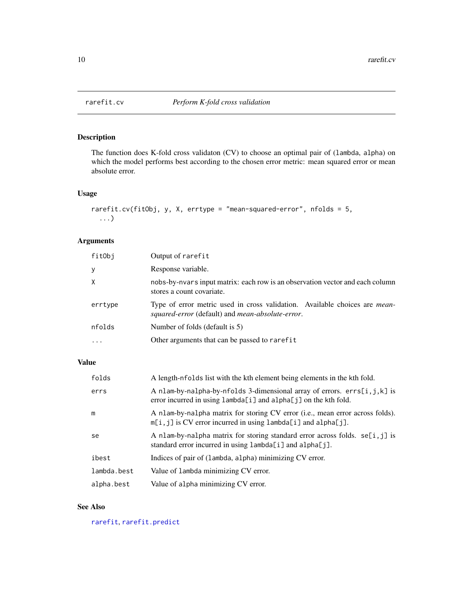<span id="page-9-1"></span><span id="page-9-0"></span>

# Description

The function does K-fold cross validaton (CV) to choose an optimal pair of (lambda, alpha) on which the model performs best according to the chosen error metric: mean squared error or mean absolute error.

# Usage

```
rarefit.cv(fitObj, y, X, errtype = "mean-squared-error", nfolds = 5,
  ...)
```
# Arguments

| fitObj  | Output of rarefit                                                                                                                      |
|---------|----------------------------------------------------------------------------------------------------------------------------------------|
| У       | Response variable.                                                                                                                     |
| X       | nobs-by-nvars input matrix: each row is an observation vector and each column<br>stores a count covariate.                             |
| errtype | Type of error metric used in cross validation. Available choices are <i>mean</i> -<br>squared-error (default) and mean-absolute-error. |
| nfolds  | Number of folds (default is 5)                                                                                                         |
|         | Other arguments that can be passed to rarefit                                                                                          |

# Value

| folds       | A length-nfolds list with the kth element being elements in the kth fold.                                                                           |
|-------------|-----------------------------------------------------------------------------------------------------------------------------------------------------|
| errs        | A nlam-by-nalpha-by-nfolds 3-dimensional array of errors. $errs[i, j, k]$ is<br>error incurred in using $lambda[i]$ and $alpha[j]$ on the kth fold. |
| m           | A nlam-by-nalpha matrix for storing CV error (i.e., mean error across folds).<br>$m[i, j]$ is CV error incurred in using lambda[i] and alpha[j].    |
| se          | A nlam-by-nalpha matrix for storing standard error across folds. $se[i, j]$ is<br>standard error incurred in using $lambda[i]$ and $alpha[j]$ .     |
| ibest       | Indices of pair of (lambda, alpha) minimizing CV error.                                                                                             |
| lambda.best | Value of lambda minimizing CV error.                                                                                                                |
| alpha.best  | Value of alpha minimizing CV error.                                                                                                                 |

# See Also

[rarefit](#page-6-1), [rarefit.predict](#page-10-1)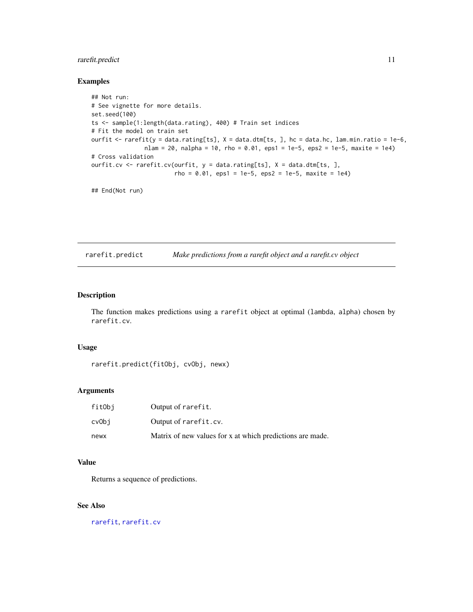# <span id="page-10-0"></span>rarefit.predict 11

### Examples

```
## Not run:
# See vignette for more details.
set.seed(100)
ts <- sample(1:length(data.rating), 400) # Train set indices
# Fit the model on train set
ourfit <- rarefit(y = data.rating[ts], X = data.dtm[ts, ], hc = data.hc, lam.min.ratio = 1e-6,
               nlam = 20, nalpha = 10, rho = 0.01, eps1 = 1e-5, eps2 = 1e-5, maxite = 1e4)
# Cross validation
ourfit.cv <- rarefit.cv(ourfit, y = data.rating[ts], X = data.dtm[ts, ],
                        rho = 0.01, eps1 = 1e-5, eps2 = 1e-5, maxite = 1e4)
```
## End(Not run)

<span id="page-10-1"></span>rarefit.predict *Make predictions from a rarefit object and a rarefit.cv object*

#### Description

The function makes predictions using a rarefit object at optimal (lambda, alpha) chosen by rarefit.cv.

# Usage

```
rarefit.predict(fitObj, cvObj, newx)
```
# Arguments

| fitObi | Output of rarefit.                                        |
|--------|-----------------------------------------------------------|
| cvObi  | Output of rarefit.cv.                                     |
| newx   | Matrix of new values for x at which predictions are made. |

# Value

Returns a sequence of predictions.

# See Also

[rarefit](#page-6-1), [rarefit.cv](#page-9-1)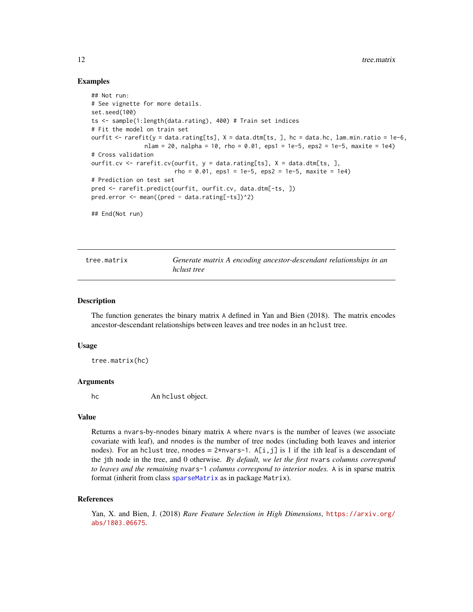#### <span id="page-11-0"></span>Examples

```
## Not run:
# See vignette for more details.
set.seed(100)
ts <- sample(1:length(data.rating), 400) # Train set indices
# Fit the model on train set
ourfit <- rarefit(y = data.rating[ts], X = data.dtm[ts, ], hc = data.hc, lam.min.ratio = 1e-6,
               nlam = 20, nalpha = 10, rho = 0.01, eps1 = 1e-5, eps2 = 1e-5, maxite = 1e4)
# Cross validation
ourfit.cv <- rarefit.cv(ourfit, y = data.rating[ts], X = data.dtm[ts, ],
                        rho = 0.01, eps1 = 1e-5, eps2 = 1e-5, maxite = 1e4)
# Prediction on test set
pred <- rarefit.predict(ourfit, ourfit.cv, data.dtm[-ts, ])
pred.error <- mean((pred - data.rating[-ts])^2)
## End(Not run)
```
<span id="page-11-1"></span>tree.matrix *Generate matrix A encoding ancestor-descendant relationships in an hclust tree*

#### **Description**

The function generates the binary matrix A defined in Yan and Bien (2018). The matrix encodes ancestor-descendant relationships between leaves and tree nodes in an hclust tree.

#### Usage

tree.matrix(hc)

#### Arguments

hc An hclust object.

#### Value

Returns a nvars-by-nnodes binary matrix A where nvars is the number of leaves (we associate covariate with leaf), and nnodes is the number of tree nodes (including both leaves and interior nodes). For an hclust tree, nnodes =  $2*$ nvars-1. A[i,j] is 1 if the ith leaf is a descendant of the jth node in the tree, and 0 otherwise. *By default, we let the first* nvars *columns correspond to leaves and the remaining* nvars-1 *columns correspond to interior nodes.* A is in sparse matrix format (inherit from class [sparseMatrix](#page-0-0) as in package Matrix).

#### References

Yan, X. and Bien, J. (2018) *Rare Feature Selection in High Dimensions*, [https://arxiv.org/](https://arxiv.org/abs/1803.06675) [abs/1803.06675](https://arxiv.org/abs/1803.06675).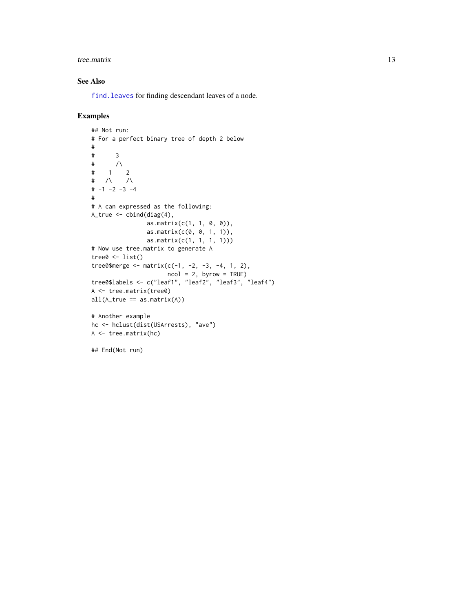#### <span id="page-12-0"></span>tree. matrix 13

# See Also

[find.leaves](#page-3-2) for finding descendant leaves of a node.

# Examples

```
## Not run:
# For a perfect binary tree of depth 2 below
#
# 3
# /\
# 1 2
# /\ /\
# -1 -2 -3 -4
#
# A can expressed as the following:
A_true \leq cbind(diag(4),
               as.matrix(c(1, 1, 0, 0)),
                as.matrix(c(0, 0, 1, 1)),
               as.matrix(c(1, 1, 1, 1)))
# Now use tree.matrix to generate A
tree0 \leftarrow list()
tree0$ merge <- matrix(c(-1, -2, -3, -4, 1, 2),
                     ncol = 2, byrow = TRUE)
tree0$labels <- c("leaf1", "leaf2", "leaf3", "leaf4")
A <- tree.matrix(tree0)
all(A_time == as_matrix(A))# Another example
hc <- hclust(dist(USArrests), "ave")
A <- tree.matrix(hc)
## End(Not run)
```